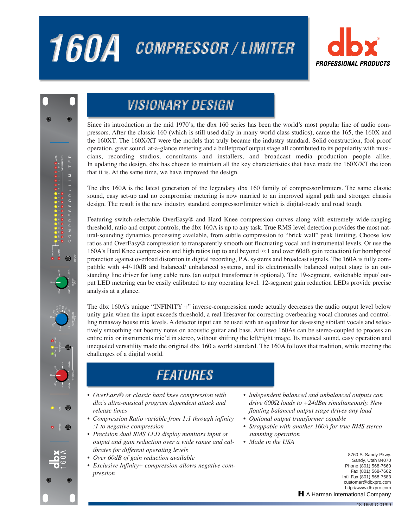# 160A COMPRESSOR / LIMITER





## **VISIONARY DESIGN**

Since its introduction in the mid 1970's, the dbx 160 series has been the world's most popular line of audio compressors. After the classic 160 (which is still used daily in many world class studios), came the 165, the 160X and the 160XT. The 160X/XT were the models that truly became the industry standard. Solid construction, fool proof operation, great sound, at-a-glance metering and a bulletproof output stage all contributed to its popularity with musicians, recording studios, consultants and installers, and broadcast media production people alike. In updating the design, dbx has chosen to maintain all the key characteristics that have made the 160X/XT the icon that it is. At the same time, we have improved the design.

The dbx 160A is the latest generation of the legendary dbx 160 family of compressor/limiters. The same classic sound, easy set-up and no compromise metering is now married to an improved signal path and stronger chassis design. The result is the new industry standard compressor/limiter which is digital-ready and road tough.

Featuring switch-selectable OverEasy® and Hard Knee compression curves along with extremely wide-ranging threshold, ratio and output controls, the dbx 160A is up to any task. True RMS level detection provides the most natural-sounding dynamics processing available, from subtle compression to "brick wall" peak limiting. Choose low ratios and OverEasy® compression to transparently smooth out fluctuating vocal and instrumental levels. Or use the 160A's Hard Knee compression and high ratios (up to and beyond ∞:1 and over 60dB gain reduction) for bombproof protection against overload distortion in digital recording, P.A. systems and broadcast signals. The 160A is fully compatible with  $+4/-10$ dB and balanced/ unbalanced systems, and its electronically balanced output stage is an outstanding line driver for long cable runs (an output transformer is optional). The 19-segment, switchable input/ output LED metering can be easily calibrated to any operating level. 12-segment gain reduction LEDs provide precise analysis at a glance.

The dbx 160A's unique "INFINITY +" inverse-compression mode actually decreases the audio output level below unity gain when the input exceeds threshold, a real lifesaver for correcting overbearing vocal choruses and controlling runaway house mix levels. A detector input can be used with an equalizer for de-essing sibilant vocals and selectively smoothing out boomy notes on acoustic guitar and bass. And two 160As can be stereo-coupled to process an entire mix or instruments mic'd in stereo, without shifting the left/right image. Its musical sound, easy operation and unequaled versatility made the original dbx 160 a world standard. The 160A follows that tradition, while meeting the challenges of a digital world.

## **FEATURES**

- *OverEasy® or classic hard knee compression with dbx's ultra-musical program dependent attack and release times*
- *Compression Ratio variable from 1:1 through infinity :1 to negative compression*
- *Precision dual RMS LED display monitors input or output and gain reduction over a wide range and calibrates for different operating levels*
- *Over 60dB of gain reduction available*
- *Exclusive Infinity+ compression allows negative compression*
- *lndependent balanced and unbalanced outputs can drive 600Ω loads to +24dBm simultaneously. New floating balanced output stage drives any load*
- *Optional output transformer capable*
- *Strappable with another 160A for true RMS stereo summing operation*
- *Made in the USA*

8760 S. Sandy Pkwy. Sandy, Utah 84070 Phone (801) 568-7660 Fax (801) 568-7662 Int'l Fax (801) 568-7583 customer@dbxpro.com http://www.dbxpro.com **H** A Harman International Company